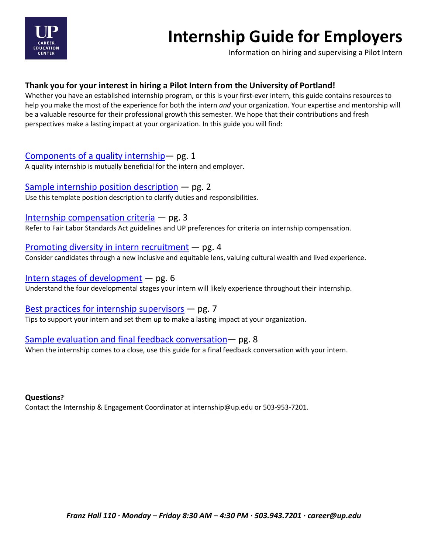

# **Internship Guide for Employers**

Information on hiring and supervising a Pilot Intern

**Thank you for your interest in hiring a Pilot Intern from the University of Portland!**<br>Whether you have an established internship program, or this is your first-ever intern, this guide contains resources to help you make the most of the experience for both the intern *and* your organization. Your expertise and mentorship will be a valuable resource for their professional growth this semester. We hope that their contributions and fresh perspectives make a lasting impact at your organization. In this guide you will find:

# [Components of a quality internship](#page-1-0)― pg. 1

A quality internship is mutually beneficial for the intern and employer.

[Sample internship position description](#page-2-0) ― pg. 2 Use this template position description to clarify duties and responsibilities.

Internship [compensation criteria](#page-3-0)  $-$  pg. 3

Refer to Fair Labor Standards Act guidelines and UP preferences for criteria on internship compensation.

[Promoting diversity in intern recruitment](#page-4-0) ― pg. 4 Consider candidates through a new inclusive and equitable lens, valuing cultural wealth and lived experience.

[Intern stages of development](#page-6-0) ― pg. 6 Understand the four developmental stages your intern will likely experience throughout their internship.

[Best practices for internship supervisors](#page-7-0) ― pg. 7 Tips to support your intern and set them up to make a lasting impact at your organization.

# Sample evaluation [and final feedback conversation](#page-8-0)― pg. 8

When the internship comes to a close, use this guide for a final feedback conversation with your intern.

**Questions?**

Contact the Internship & Engagement Coordinator at [internship@up.edu](mailto:internship@up.edu) or 503-953-7201.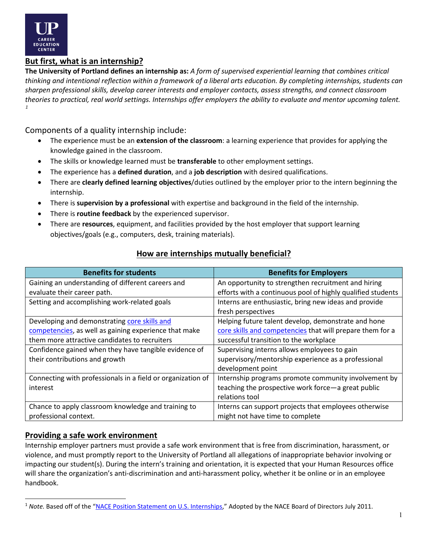

# <span id="page-1-0"></span>**But first, what is an internship?**

**The University of Portland defines an internship as:** *A form of supervised experiential learning that combines critical thinking and intentional reflection within a framework of a liberal arts education. By completing internships, students can sharpen professional skills, develop career interests and employer contacts, assess strengths, and connect classroom theories to practical, real world settings. Internships offer employers the ability to evaluate and mentor upcoming talent. [1](#page-1-1)*

Components of a quality internship include:

- The experience must be an **extension of the classroom**: a learning experience that provides for applying the knowledge gained in the classroom.
- The skills or knowledge learned must be **transferable** to other employment settings.
- The experience has a **defined duration**, and a **job description** with desired qualifications.
- There are **clearly defined learning objectives**/duties outlined by the employer prior to the intern beginning the internship.
- There is **supervision by a professional** with expertise and background in the field of the internship.
- There is **routine feedback** by the experienced supervisor.
- There are **resources**, equipment, and facilities provided by the host employer that support learning objectives/goals (e.g., computers, desk, training materials).

| <b>Benefits for students</b>                                | <b>Benefits for Employers</b>                               |
|-------------------------------------------------------------|-------------------------------------------------------------|
| Gaining an understanding of different careers and           | An opportunity to strengthen recruitment and hiring         |
| evaluate their career path.                                 | efforts with a continuous pool of highly qualified students |
| Setting and accomplishing work-related goals                | Interns are enthusiastic, bring new ideas and provide       |
|                                                             | fresh perspectives                                          |
| Developing and demonstrating core skills and                | Helping future talent develop, demonstrate and hone         |
| competencies, as well as gaining experience that make       | core skills and competencies that will prepare them for a   |
| them more attractive candidates to recruiters               | successful transition to the workplace                      |
| Confidence gained when they have tangible evidence of       | Supervising interns allows employees to gain                |
| their contributions and growth                              | supervisory/mentorship experience as a professional         |
|                                                             | development point                                           |
| Connecting with professionals in a field or organization of | Internship programs promote community involvement by        |
| interest                                                    | teaching the prospective work force-a great public          |
|                                                             | relations tool                                              |
| Chance to apply classroom knowledge and training to         | Interns can support projects that employees otherwise       |
| professional context.                                       | might not have time to complete                             |

# **How are internships mutually beneficial?**

# **Providing a safe work environment**

Internship employer partners must provide a safe work environment that is free from discrimination, harassment, or violence, and must promptly report to the University of Portland all allegations of inappropriate behavior involving or impacting our student(s). During the intern's training and orientation, it is expected that your Human Resources office will share the organization's anti-discrimination and anti-harassment policy, whether it be online or in an employee handbook.

<span id="page-1-1"></span><sup>&</sup>lt;sup>1</sup> Note. Based off of the ["NACE Position Statement on U.S. Internships,](http://www.naceweb.org/connections/advocacy/internship_position_paper/)" Adopted by the NACE Board of Directors July 2011.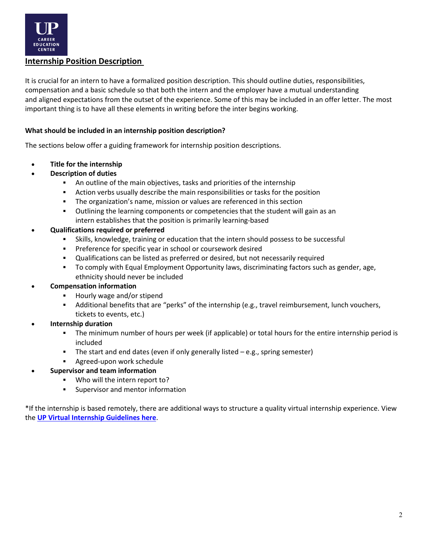

# <span id="page-2-0"></span>**Internship Position Description**

It is crucial for an intern to have a formalized position description. This should outline duties, responsibilities, compensation and a basic schedule so that both the intern and the employer have a mutual understanding and aligned expectations from the outset of the experience. Some of this may be included in an offer letter. The most important thing is to have all these elements in writing before the inter begins working.

#### **What should be included in an internship position description?**

The sections below offer a guiding framework for internship position descriptions.

- **Title for the internship**
- **Description of duties**
	- An outline of the main objectives, tasks and priorities of the internship
	- Action verbs usually describe the main responsibilities or tasks for the position
	- The organization's name, mission or values are referenced in this section
	- Outlining the learning components or competencies that the student will gain as an intern establishes that the position is primarily learning-based

#### • **Qualifications required or preferred**

- Skills, knowledge, training or education that the intern should possess to be successful
- **Preference for specific year in school or coursework desired**
- Qualifications can be listed as preferred or desired, but not necessarily required
- To comply with Equal Employment Opportunity laws, discriminating factors such as gender, age, ethnicity should never be included

## • **Compensation information**

- Hourly wage and/or stipend
- Additional benefits that are "perks" of the internship (e.g., travel reimbursement, lunch vouchers, tickets to events, etc.)
- **Internship duration**
	- The minimum number of hours per week (if applicable) or total hours for the entire internship period is included
	- The start and end dates (even if only generally listed e.g., spring semester)
	- Agreed-upon work schedule
- **Supervisor and team information**
	- Who will the intern report to?
	- **Supervisor and mentor information**

\*If the internship is based remotely, there are additional ways to structure a quality virtual internship experience. View the **[UP Virtual Internship Guidelines](https://www.up.edu/career/files/virtual-internships-guidelines-for-employers.pdf) here**.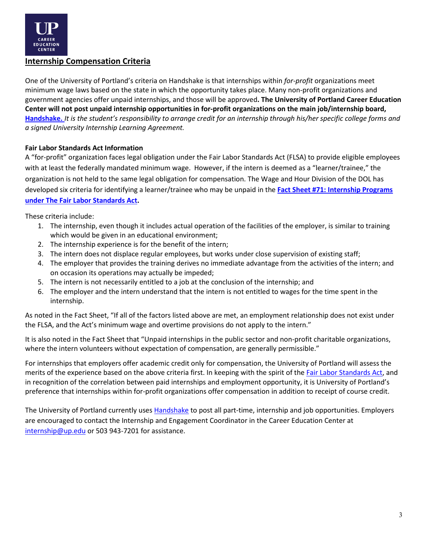

# <span id="page-3-0"></span>**Internship Compensation Criteria**

One of the University of Portland's criteria on Handshake is that internships within *for-profit* organizations meet minimum wage laws based on the state in which the opportunity takes place. Many non-profit organizations and government agencies offer unpaid internships, and those will be approved**. The University of Portland Career Education Center will not post unpaid internship opportunities in for-profit organizations on the main job/internship board, [Handshake.](https://up.joinhandshake.com/)** *It is the student's responsibility to arrange credit for an internship through his/her specific college forms and a signed University Internship Learning Agreement.* 

#### **Fair Labor Standards Act Information**

A "for-profit" organization faces legal obligation under the Fair Labor Standards Act (FLSA) to provide eligible employees with at least the federally mandated minimum wage. However, if the intern is deemed as a "learner/trainee," the organization is not held to the same legal obligation for compensation. The Wage and Hour Division of the DOL has developed six criteria for identifying a learner/trainee who may be unpaid in the **[Fact Sheet #71: Internship Programs](http://www.dol.gov/whd/regs/compliance/whdfs71.pdf)  [under The Fair Labor Standards Act.](http://www.dol.gov/whd/regs/compliance/whdfs71.pdf)**

These criteria include:

- 1. The internship, even though it includes actual operation of the facilities of the employer, is similar to training which would be given in an educational environment;
- 2. The internship experience is for the benefit of the intern;
- 3. The intern does not displace regular employees, but works under close supervision of existing staff;
- 4. The employer that provides the training derives no immediate advantage from the activities of the intern; and on occasion its operations may actually be impeded;
- 5. The intern is not necessarily entitled to a job at the conclusion of the internship; and
- 6. The employer and the intern understand that the intern is not entitled to wages for the time spent in the internship.

As noted in the Fact Sheet, "If all of the factors listed above are met, an employment relationship does not exist under the FLSA, and the Act's minimum wage and overtime provisions do not apply to the intern."

It is also noted in the Fact Sheet that "Unpaid internships in the public sector and non-profit charitable organizations, where the intern volunteers without expectation of compensation, are generally permissible."

For internships that employers offer academic credit only for compensation, the University of Portland will assess the merits of the experience based on the above criteria first. In keeping with the spirit of the [Fair Labor Standards Act,](http://www.dol.gov/whd/regs/compliance/whdfs71.htm) and in recognition of the correlation between paid internships and employment opportunity, it is University of Portland's preference that internships within for-profit organizations offer compensation in addition to receipt of course credit.

The University of Portland currently use[s Handshake](https://up.joinhandshake.com/) to post all part-time, internship and job opportunities. Employers are encouraged to contact the Internship and Engagement Coordinator in the Career Education Center at [internship@up.edu](mailto:internship@up.edu) or 503 943-7201 for assistance.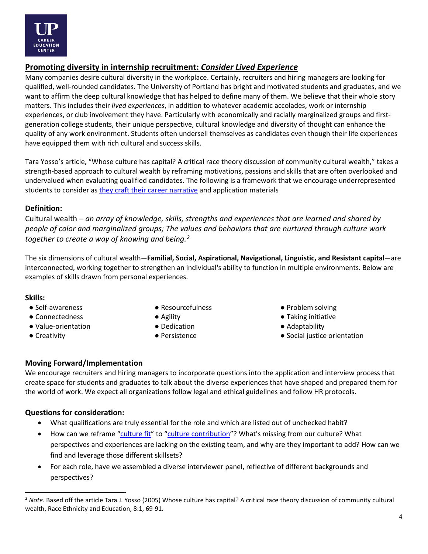

# <span id="page-4-0"></span>**Promoting diversity in internship recruitment:** *Consider Lived Experience*

Many companies desire cultural diversity in the workplace. Certainly, recruiters and hiring managers are looking for qualified, well-rounded candidates. The University of Portland has bright and motivated students and graduates, and we want to affirm the deep cultural knowledge that has helped to define many of them. We believe that their whole story matters. This includes their *lived experiences*, in addition to whatever academic accolades, work or internship experiences, or club involvement they have. Particularly with economically and racially marginalized groups and firstgeneration college students, their unique perspective, cultural knowledge and diversity of thought can enhance the quality of any work environment. Students often undersell themselves as candidates even though their life experiences have equipped them with rich cultural and success skills.

Tara Yosso's article, "Whose culture has capital? A critical race theory discussion of community cultural wealth," takes a strength-based approach to cultural wealth by reframing motivations, passions and skills that are often overlooked and undervalued when evaluating qualified candidates. The following is a framework that we encourage underrepresented students to consider as [they craft their career narrative](https://www.up.edu/career/handouts/cultural-wealth-and-your-career-narrative.pdf) and application materials

# **Definition:**

Cultural wealth ─ *an array of knowledge, skills, strengths and experiences that are learned and shared by people of color and marginalized groups; The values and behaviors that are nurtured through culture work together to create a way of knowing and being.[2](#page-4-1)*

The six dimensions of cultural wealth—**Familial, Social, Aspirational, Navigational, Linguistic, and Resistant capital**—are interconnected, working together to strengthen an individual's ability to function in multiple environments. Below are examples of skills drawn from personal experiences.

## **Skills:**

- 
- 
- Value-orientation Dedication Dedication △ Adaptability
- 
- Self-awareness Nesourcefulness Problem solving
	-
	-
	-
- 
- Connectedness △ Agility △ Agility Taking initiative
	-
- Creativity Persistence Persistence Social justice orientation

# **Moving Forward/Implementation**

We encourage recruiters and hiring managers to incorporate questions into the application and interview process that create space for students and graduates to talk about the diverse experiences that have shaped and prepared them for the world of work. We expect all organizations follow legal and ethical guidelines and follow HR protocols.

# **Questions for consideration:**

- What qualifications are truly essential for the role and which are listed out of unchecked habit?
- How can we reframe ["culture fit"](https://www.huffpost.com/entry/culture-fit-failed-idea-in-hiring_l_5f1f2319c5b69fd47310363e) to ["culture contribution"](https://www.youtube.com/watch?v=mLHp25mUd40&feature=emb_title)? What's missing from our culture? What perspectives and experiences are lacking on the existing team, and why are they important to add? How can we find and leverage those different skillsets?
- For each role, have we assembled a diverse interviewer panel, reflective of different backgrounds and perspectives?

<span id="page-4-1"></span><sup>&</sup>lt;sup>2</sup> Note. Based off the article Tara J. Yosso (2005) Whose culture has capital? A critical race theory discussion of community cultural wealth, Race Ethnicity and Education, 8:1, 69-91.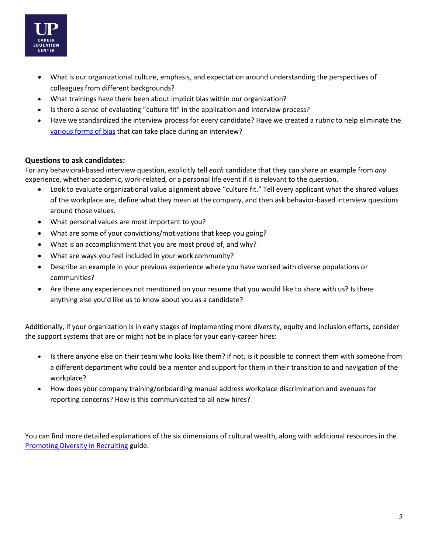

- What is our organizational culture, emphasis, and expectation around understanding the perspectives of colleagues from different backgrounds?
- What trainings have there been about implicit bias within our organization?
- Is there a sense of evaluating "culture fit" in the application and interview process?
- Have we standardized the interview process for every candidate? Have we created a rubric to help eliminate the [various forms of bias](https://uwosh.edu/hr/wp-content/uploads/sites/90/2018/04/Bias.pdf) that can take place during an interview?

## **Questions to ask candidates:**

For any behavioral-based interview question, explicitly tell *each* candidate that they can share an example from *any* experience, whether academic, work-related, or a personal life event if it is relevant to the question.

- Look to evaluate organizational value alignment above "culture fit." Tell every applicant what the shared values of the workplace are, define what they mean at the company, and then ask behavior-based interview questions around those values.
- What personal values are most important to you?
- What are some of your convictions/motivations that keep you going?
- What is an accomplishment that you are most proud of, and why?
- What are ways you feel included in your work community?
- Describe an example in your previous experience where you have worked with diverse populations or communities?
- Are there any experiences not mentioned on your resume that you would like to share with us? Is there anything else you'd like us to know about you as a candidate?

Additionally, if your organization is in early stages of implementing more diversity, equity and inclusion efforts, consider the support systems that are or might not be in place for your early-career hires:

- Is there anyone else on their team who looks like them? If not, is it possible to connect them with someone from a different department who could be a mentor and support for them in their transition to and navigation of the workplace?
- How does your company training/onboarding manual address workplace discrimination and avenues for reporting concerns? How is this communicated to all new hires?

You can find more detailed explanations of the six dimensions of cultural wealth, along with additional resources in the [Promoting Diversity in Recruiting](https://www.up.edu/career/files/promoting-diversity-in-recruiting.pdf) guide.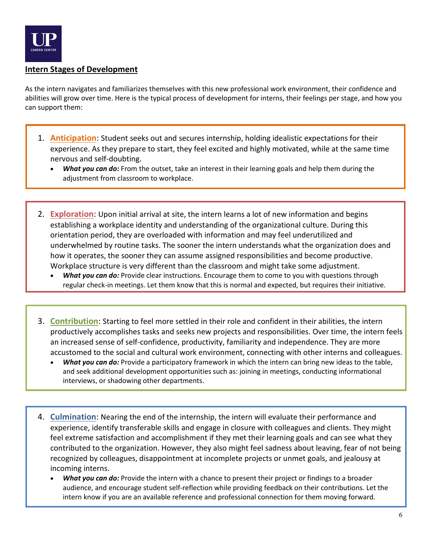

# <span id="page-6-0"></span>**Intern Stages of Development**

As the intern navigates and familiarizes themselves with this new professional work environment, their confidence and abilities will grow over time. Here is the typical process of development for interns, their feelings per stage, and how you can support them:

- 1. **Anticipation**: Student seeks out and secures internship, holding idealistic expectations for their experience. As they prepare to start, they feel excited and highly motivated, while at the same time nervous and self-doubting.
	- *What you can do:* From the outset, take an interest in their learning goals and help them during the adjustment from classroom to workplace.
- 2. **Exploration**: Upon initial arrival at site, the intern learns a lot of new information and begins establishing a workplace identity and understanding of the organizational culture. During this orientation period, they are overloaded with information and may feel underutilized and underwhelmed by routine tasks. The sooner the intern understands what the organization does and how it operates, the sooner they can assume assigned responsibilities and become productive. Workplace structure is very different than the classroom and might take some adjustment.
	- *What you can do:* Provide clear instructions. Encourage them to come to you with questions through regular check-in meetings. Let them know that this is normal and expected, but requires their initiative.
- 3. **Contribution**: Starting to feel more settled in their role and confident in their abilities, the intern productively accomplishes tasks and seeks new projects and responsibilities. Over time, the intern feels an increased sense of self-confidence, productivity, familiarity and independence. They are more accustomed to the social and cultural work environment, connecting with other interns and colleagues.
	- *What you can do:* Provide a participatory framework in which the intern can bring new ideas to the table, and seek additional development opportunities such as: joining in meetings, conducting informational interviews, or shadowing other departments.
- 4. **Culmination**: Nearing the end of the internship, the intern will evaluate their performance and experience, identify transferable skills and engage in closure with colleagues and clients. They might feel extreme satisfaction and accomplishment if they met their learning goals and can see what they contributed to the organization. However, they also might feel sadness about leaving, fear of not being recognized by colleagues, disappointment at incomplete projects or unmet goals, and jealousy at incoming interns.
	- *What you can do:* Provide the intern with a chance to present their project or findings to a broader audience, and encourage student self-reflection while providing feedback on their contributions. Let the intern know if you are an available reference and professional connection for them moving forward.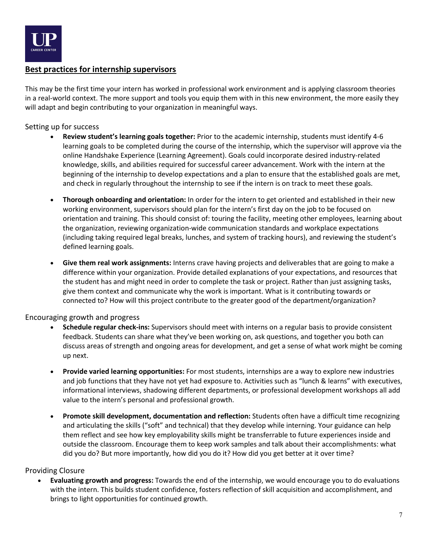

# <span id="page-7-0"></span>**Best practices for internship supervisors**

This may be the first time your intern has worked in professional work environment and is applying classroom theories in a real-world context. The more support and tools you equip them with in this new environment, the more easily they will adapt and begin contributing to your organization in meaningful ways.

#### Setting up for success

- **Review student's learning goals together:** Prior to the academic internship, students must identify 4-6 learning goals to be completed during the course of the internship, which the supervisor will approve via the online Handshake Experience (Learning Agreement). Goals could incorporate desired industry-related knowledge, skills, and abilities required for successful career advancement. Work with the intern at the beginning of the internship to develop expectations and a plan to ensure that the established goals are met, and check in regularly throughout the internship to see if the intern is on track to meet these goals.
- **Thorough onboarding and orientation:** In order for the intern to get oriented and established in their new working environment, supervisors should plan for the intern's first day on the job to be focused on orientation and training. This should consist of: touring the facility, meeting other employees, learning about the organization, reviewing organization-wide communication standards and workplace expectations (including taking required legal breaks, lunches, and system of tracking hours), and reviewing the student's defined learning goals.
- **Give them real work assignments:** Interns crave having projects and deliverables that are going to make a difference within your organization. Provide detailed explanations of your expectations, and resources that the student has and might need in order to complete the task or project. Rather than just assigning tasks, give them context and communicate why the work is important. What is it contributing towards or connected to? How will this project contribute to the greater good of the department/organization?

#### Encouraging growth and progress

- **Schedule regular check-ins:** Supervisors should meet with interns on a regular basis to provide consistent feedback. Students can share what they've been working on, ask questions, and together you both can discuss areas of strength and ongoing areas for development, and get a sense of what work might be coming up next.
- **Provide varied learning opportunities:** For most students, internships are a way to explore new industries and job functions that they have not yet had exposure to. Activities such as "lunch & learns" with executives, informational interviews, shadowing different departments, or professional development workshops all add value to the intern's personal and professional growth.
- **Promote skill development, documentation and reflection:** Students often have a difficult time recognizing and articulating the skills ("soft" and technical) that they develop while interning. Your guidance can help them reflect and see how key employability skills might be transferrable to future experiences inside and outside the classroom. Encourage them to keep work samples and talk about their accomplishments: what did you do? But more importantly, how did you do it? How did you get better at it over time?

## Providing Closure

• **Evaluating growth and progress:** Towards the end of the internship, we would encourage you to do evaluations with the intern. This builds student confidence, fosters reflection of skill acquisition and accomplishment, and brings to light opportunities for continued growth.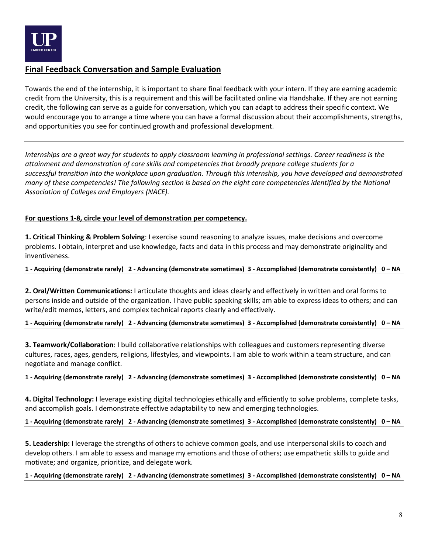

# <span id="page-8-0"></span>**Final Feedback Conversation and Sample Evaluation**

Towards the end of the internship, it is important to share final feedback with your intern. If they are earning academic credit from the University, this is a requirement and this will be facilitated online via Handshake. If they are not earning credit, the following can serve as a guide for conversation, which you can adapt to address their specific context. We would encourage you to arrange a time where you can have a formal discussion about their accomplishments, strengths, and opportunities you see for continued growth and professional development.

*Internships are a great way for students to apply classroom learning in professional settings. Career readiness is the attainment and demonstration of core skills and competencies that broadly prepare college students for a successful transition into the workplace upon graduation. Through this internship, you have developed and demonstrated many of these competencies! The following section is based on the eight core competencies identified by the National Association of Colleges and Employers (NACE).*

## **For questions 1-8, circle your level of demonstration per competency.**

**1. Critical Thinking & Problem Solving**: I exercise sound reasoning to analyze issues, make decisions and overcome problems. I obtain, interpret and use knowledge, facts and data in this process and may demonstrate originality and inventiveness.

#### **1 - Acquiring (demonstrate rarely) 2 - Advancing (demonstrate sometimes) 3 - Accomplished (demonstrate consistently) 0 – NA**

**2. Oral/Written Communications:** I articulate thoughts and ideas clearly and effectively in written and oral forms to persons inside and outside of the organization. I have public speaking skills; am able to express ideas to others; and can write/edit memos, letters, and complex technical reports clearly and effectively.

#### **1 - Acquiring (demonstrate rarely) 2 - Advancing (demonstrate sometimes) 3 - Accomplished (demonstrate consistently) 0 – NA**

**3. Teamwork/Collaboration**: I build collaborative relationships with colleagues and customers representing diverse cultures, races, ages, genders, religions, lifestyles, and viewpoints. I am able to work within a team structure, and can negotiate and manage conflict.

#### **1 - Acquiring (demonstrate rarely) 2 - Advancing (demonstrate sometimes) 3 - Accomplished (demonstrate consistently) 0 – NA**

**4. Digital Technology:** I leverage existing digital technologies ethically and efficiently to solve problems, complete tasks, and accomplish goals. I demonstrate effective adaptability to new and emerging technologies.

**1 - Acquiring (demonstrate rarely) 2 - Advancing (demonstrate sometimes) 3 - Accomplished (demonstrate consistently) 0 – NA**

**5. Leadership:** I leverage the strengths of others to achieve common goals, and use interpersonal skills to coach and develop others. I am able to assess and manage my emotions and those of others; use empathetic skills to guide and motivate; and organize, prioritize, and delegate work.

#### **1 - Acquiring (demonstrate rarely) 2 - Advancing (demonstrate sometimes) 3 - Accomplished (demonstrate consistently) 0 – NA**